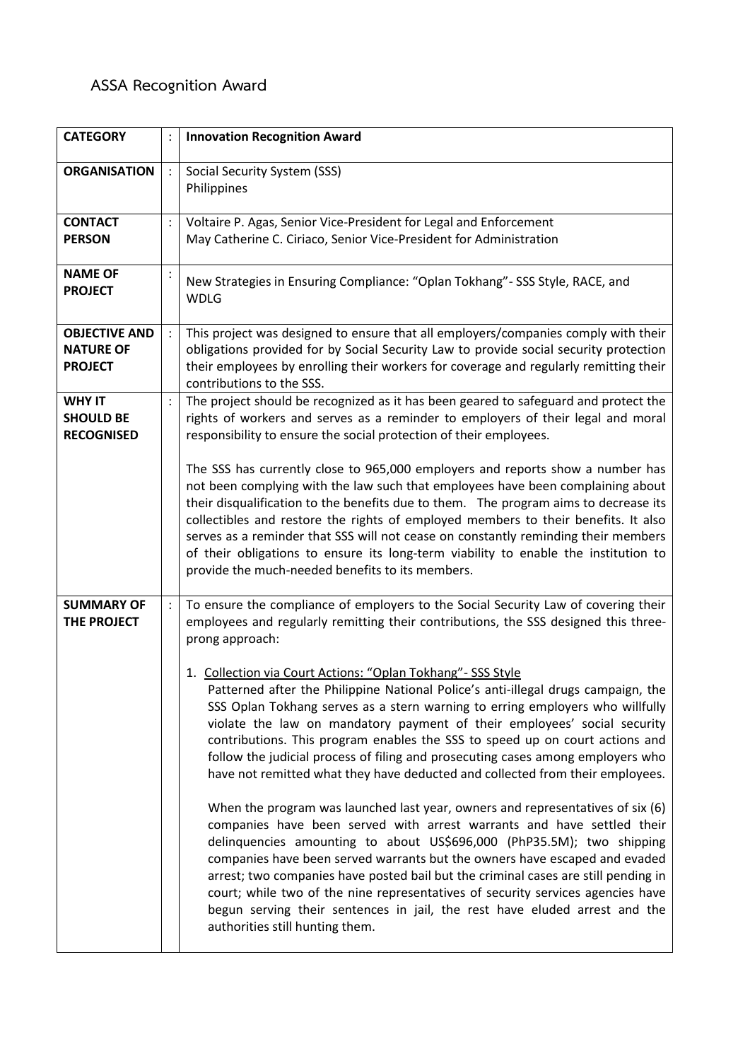## **ASSA Recognition Award**

| <b>CATEGORY</b>                                            |                | <b>Innovation Recognition Award</b>                                                                                                                                                                                                                                                                                                                                                                                                                                                                                                                                                                                                                                                                                                                                                                                                                                                   |
|------------------------------------------------------------|----------------|---------------------------------------------------------------------------------------------------------------------------------------------------------------------------------------------------------------------------------------------------------------------------------------------------------------------------------------------------------------------------------------------------------------------------------------------------------------------------------------------------------------------------------------------------------------------------------------------------------------------------------------------------------------------------------------------------------------------------------------------------------------------------------------------------------------------------------------------------------------------------------------|
| <b>ORGANISATION</b>                                        | $\ddot{\cdot}$ | Social Security System (SSS)<br>Philippines                                                                                                                                                                                                                                                                                                                                                                                                                                                                                                                                                                                                                                                                                                                                                                                                                                           |
| <b>CONTACT</b><br><b>PERSON</b>                            |                | Voltaire P. Agas, Senior Vice-President for Legal and Enforcement<br>May Catherine C. Ciriaco, Senior Vice-President for Administration                                                                                                                                                                                                                                                                                                                                                                                                                                                                                                                                                                                                                                                                                                                                               |
| <b>NAME OF</b><br><b>PROJECT</b>                           |                | New Strategies in Ensuring Compliance: "Oplan Tokhang" - SSS Style, RACE, and<br><b>WDLG</b>                                                                                                                                                                                                                                                                                                                                                                                                                                                                                                                                                                                                                                                                                                                                                                                          |
| <b>OBJECTIVE AND</b><br><b>NATURE OF</b><br><b>PROJECT</b> |                | This project was designed to ensure that all employers/companies comply with their<br>obligations provided for by Social Security Law to provide social security protection<br>their employees by enrolling their workers for coverage and regularly remitting their<br>contributions to the SSS.                                                                                                                                                                                                                                                                                                                                                                                                                                                                                                                                                                                     |
| <b>WHY IT</b><br><b>SHOULD BE</b><br><b>RECOGNISED</b>     |                | The project should be recognized as it has been geared to safeguard and protect the<br>rights of workers and serves as a reminder to employers of their legal and moral<br>responsibility to ensure the social protection of their employees.                                                                                                                                                                                                                                                                                                                                                                                                                                                                                                                                                                                                                                         |
|                                                            |                | The SSS has currently close to 965,000 employers and reports show a number has<br>not been complying with the law such that employees have been complaining about<br>their disqualification to the benefits due to them. The program aims to decrease its<br>collectibles and restore the rights of employed members to their benefits. It also<br>serves as a reminder that SSS will not cease on constantly reminding their members<br>of their obligations to ensure its long-term viability to enable the institution to<br>provide the much-needed benefits to its members.                                                                                                                                                                                                                                                                                                      |
| <b>SUMMARY OF</b><br>THE PROJECT                           | $\pm$          | To ensure the compliance of employers to the Social Security Law of covering their<br>employees and regularly remitting their contributions, the SSS designed this three-<br>prong approach:                                                                                                                                                                                                                                                                                                                                                                                                                                                                                                                                                                                                                                                                                          |
|                                                            |                | 1. Collection via Court Actions: "Oplan Tokhang" - SSS Style<br>Patterned after the Philippine National Police's anti-illegal drugs campaign, the<br>SSS Oplan Tokhang serves as a stern warning to erring employers who willfully<br>violate the law on mandatory payment of their employees' social security<br>contributions. This program enables the SSS to speed up on court actions and<br>follow the judicial process of filing and prosecuting cases among employers who<br>have not remitted what they have deducted and collected from their employees.<br>When the program was launched last year, owners and representatives of six (6)<br>companies have been served with arrest warrants and have settled their<br>delinquencies amounting to about US\$696,000 (PhP35.5M); two shipping<br>companies have been served warrants but the owners have escaped and evaded |
|                                                            |                | arrest; two companies have posted bail but the criminal cases are still pending in<br>court; while two of the nine representatives of security services agencies have<br>begun serving their sentences in jail, the rest have eluded arrest and the<br>authorities still hunting them.                                                                                                                                                                                                                                                                                                                                                                                                                                                                                                                                                                                                |